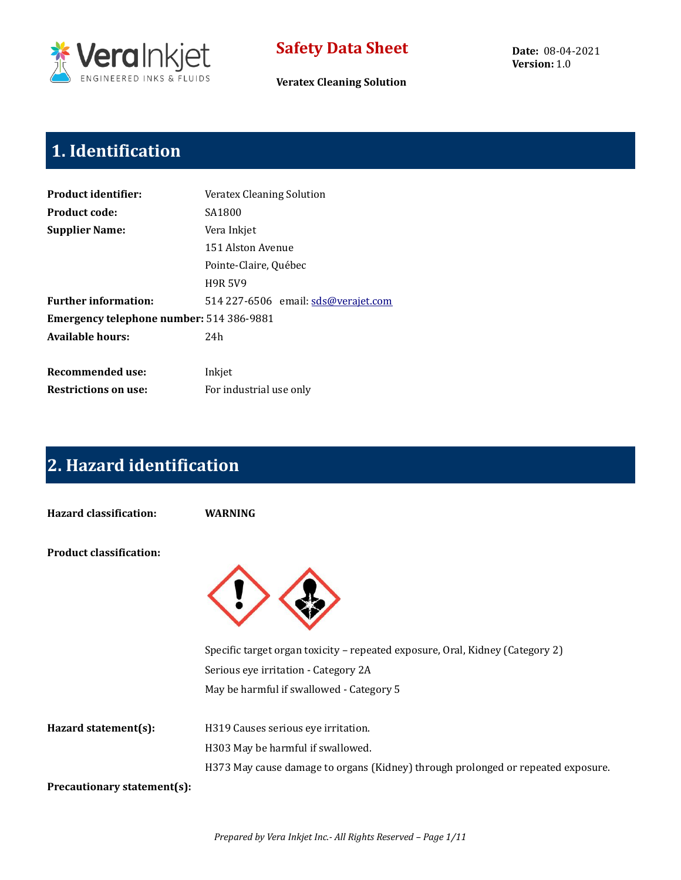

**Veratex Cleaning Solution**

**Date:** 08-04-2021 **Version:** 1.0

# **1. Identification**

| SA1800<br>Vera Inkjet<br>151 Alston Avenue<br>Pointe-Claire, Québec<br><b>H9R 5V9</b><br>514 227-6506 email: sds@verajet.com<br>Emergency telephone number: 514 386-9881<br>24h<br>Inkjet<br>For industrial use only | <b>Product identifier:</b>  | Veratex Cleaning Solution |  |  |  |  |  |
|----------------------------------------------------------------------------------------------------------------------------------------------------------------------------------------------------------------------|-----------------------------|---------------------------|--|--|--|--|--|
|                                                                                                                                                                                                                      | <b>Product code:</b>        |                           |  |  |  |  |  |
|                                                                                                                                                                                                                      | <b>Supplier Name:</b>       |                           |  |  |  |  |  |
|                                                                                                                                                                                                                      |                             |                           |  |  |  |  |  |
|                                                                                                                                                                                                                      |                             |                           |  |  |  |  |  |
|                                                                                                                                                                                                                      |                             |                           |  |  |  |  |  |
|                                                                                                                                                                                                                      | <b>Further information:</b> |                           |  |  |  |  |  |
|                                                                                                                                                                                                                      |                             |                           |  |  |  |  |  |
|                                                                                                                                                                                                                      | <b>Available hours:</b>     |                           |  |  |  |  |  |
|                                                                                                                                                                                                                      |                             |                           |  |  |  |  |  |
|                                                                                                                                                                                                                      | Recommended use:            |                           |  |  |  |  |  |
|                                                                                                                                                                                                                      | <b>Restrictions on use:</b> |                           |  |  |  |  |  |

# **2. Hazard identification**

**Hazard classification: WARNING**

**Product classification:**



|                             | Specific target organ toxicity – repeated exposure, Oral, Kidney (Category 2)    |
|-----------------------------|----------------------------------------------------------------------------------|
|                             | Serious eye irritation - Category 2A                                             |
|                             | May be harmful if swallowed - Category 5                                         |
| Hazard statement(s):        | H319 Causes serious eye irritation.                                              |
|                             | H303 May be harmful if swallowed.                                                |
|                             | H373 May cause damage to organs (Kidney) through prolonged or repeated exposure. |
| Precautionary statement(s): |                                                                                  |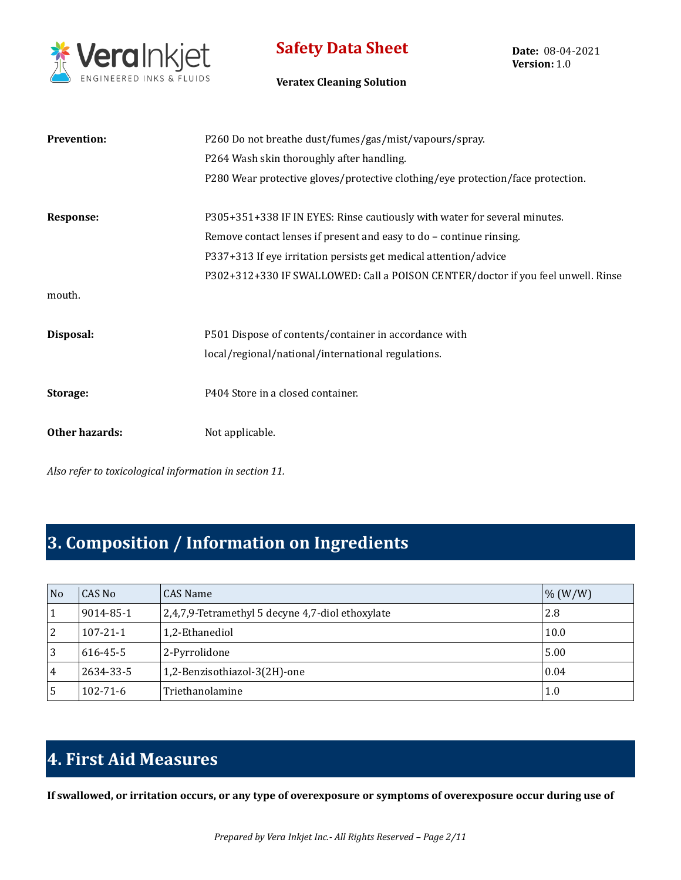

**Date:** 08-04-2021 **Version:** 1.0

#### **Veratex Cleaning Solution**

| <b>Prevention:</b> | P260 Do not breathe dust/fumes/gas/mist/vapours/spray.                           |
|--------------------|----------------------------------------------------------------------------------|
|                    | P264 Wash skin thoroughly after handling.                                        |
|                    | P280 Wear protective gloves/protective clothing/eye protection/face protection.  |
| Response:          | P305+351+338 IF IN EYES: Rinse cautiously with water for several minutes.        |
|                    | Remove contact lenses if present and easy to do - continue rinsing.              |
|                    | P337+313 If eye irritation persists get medical attention/advice                 |
|                    | P302+312+330 IF SWALLOWED: Call a POISON CENTER/doctor if you feel unwell. Rinse |
| mouth.             |                                                                                  |
|                    |                                                                                  |
| Disposal:          | P501 Dispose of contents/container in accordance with                            |
|                    | local/regional/national/international regulations.                               |
| Storage:           | P404 Store in a closed container.                                                |
| Other hazards:     | Not applicable.                                                                  |

*Also refer to toxicological information in section 11.*

## **3. Composition / Information on Ingredients**

| N <sub>o</sub> | CAS No         | <b>CAS Name</b>                                  | $\frac{9}{6}$ (W/W) |
|----------------|----------------|--------------------------------------------------|---------------------|
|                | 9014-85-1      | 2,4,7,9-Tetramethyl 5 decyne 4,7-diol ethoxylate | 2.8                 |
| 2              | $107 - 21 - 1$ | 1,2-Ethanediol                                   | 10.0                |
| 3              | 616-45-5       | 2-Pyrrolidone                                    | 5.00                |
| 4              | 2634-33-5      | 1,2-Benzisothiazol-3(2H)-one                     | 0.04                |
| 5              | $102 - 71 - 6$ | Triethanolamine                                  | 1.0                 |

# **4. First Aid Measures**

**If swallowed, or irritation occurs, or any type of overexposure or symptoms of overexposure occur during use of**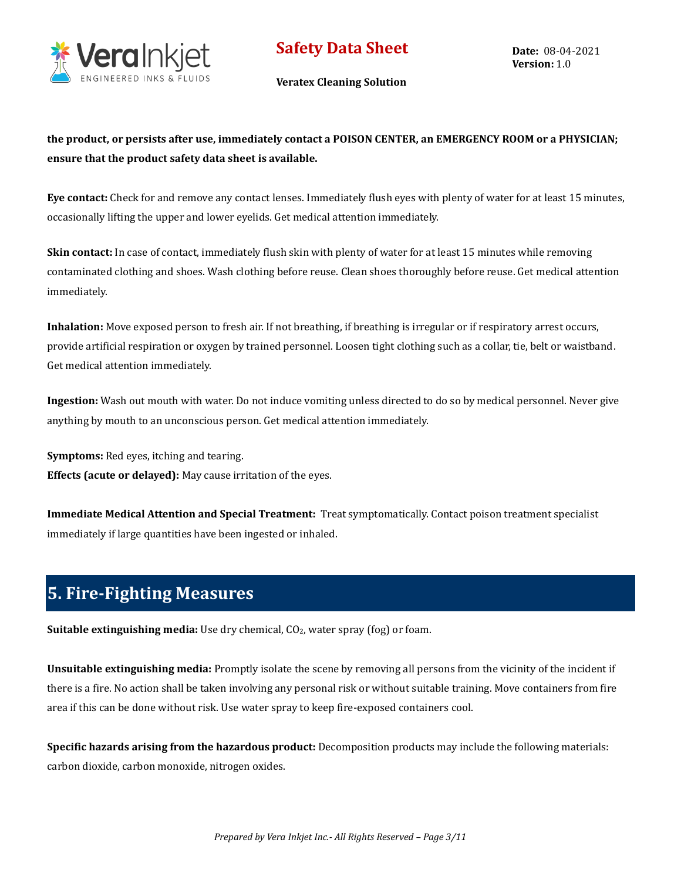

**Veratex Cleaning Solution**

**the product, or persists after use, immediately contact a POISON CENTER, an EMERGENCY ROOM or a PHYSICIAN; ensure that the product safety data sheet is available.**

**Eye contact:** Check for and remove any contact lenses. Immediately flush eyes with plenty of water for at least 15 minutes, occasionally lifting the upper and lower eyelids. Get medical attention immediately.

**Skin contact:** In case of contact, immediately flush skin with plenty of water for at least 15 minutes while removing contaminated clothing and shoes. Wash clothing before reuse. Clean shoes thoroughly before reuse. Get medical attention immediately.

**Inhalation:** Move exposed person to fresh air. If not breathing, if breathing is irregular or if respiratory arrest occurs, provide artificial respiration or oxygen by trained personnel. Loosen tight clothing such as a collar, tie, belt or waistband. Get medical attention immediately.

**Ingestion:** Wash out mouth with water. Do not induce vomiting unless directed to do so by medical personnel. Never give anything by mouth to an unconscious person. Get medical attention immediately.

**Symptoms:** Red eyes, itching and tearing. **Effects (acute or delayed):** May cause irritation of the eyes.

**Immediate Medical Attention and Special Treatment:** Treat symptomatically. Contact poison treatment specialist immediately if large quantities have been ingested or inhaled.

# **5. Fire-Fighting Measures**

**Suitable extinguishing media:** Use dry chemical, CO<sub>2</sub>, water spray (fog) or foam.

**Unsuitable extinguishing media:** Promptly isolate the scene by removing all persons from the vicinity of the incident if there is a fire. No action shall be taken involving any personal risk or without suitable training. Move containers from fire area if this can be done without risk. Use water spray to keep fire-exposed containers cool.

**Specific hazards arising from the hazardous product:** Decomposition products may include the following materials: carbon dioxide, carbon monoxide, nitrogen oxides.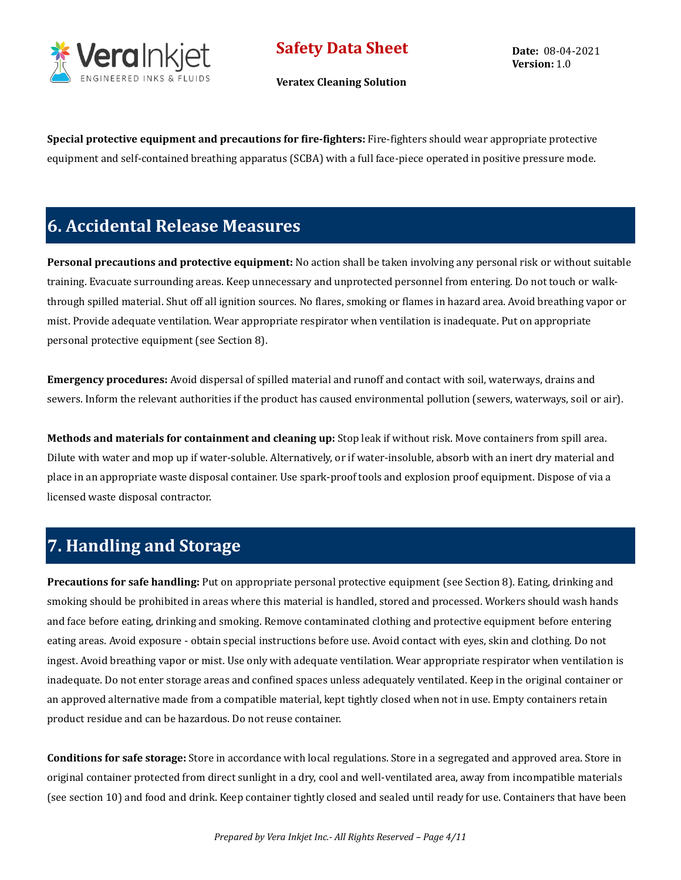

**Veratex Cleaning Solution**

**Date:** 08-04-2021 **Version:** 1.0

**Special protective equipment and precautions for fire-fighters:** Fire-fighters should wear appropriate protective equipment and self-contained breathing apparatus (SCBA) with a full face-piece operated in positive pressure mode.

## **6. Accidental Release Measures**

**Personal precautions and protective equipment:** No action shall be taken involving any personal risk or without suitable training. Evacuate surrounding areas. Keep unnecessary and unprotected personnel from entering. Do not touch or walkthrough spilled material. Shut off all ignition sources. No flares, smoking or flames in hazard area. Avoid breathing vapor or mist. Provide adequate ventilation. Wear appropriate respirator when ventilation is inadequate. Put on appropriate personal protective equipment (see Section 8).

**Emergency procedures:** Avoid dispersal of spilled material and runoff and contact with soil, waterways, drains and sewers. Inform the relevant authorities if the product has caused environmental pollution (sewers, waterways, soil or air).

**Methods and materials for containment and cleaning up:** Stop leak if without risk. Move containers from spill area. Dilute with water and mop up if water-soluble. Alternatively, or if water-insoluble, absorb with an inert dry material and place in an appropriate waste disposal container. Use spark-proof tools and explosion proof equipment. Dispose of via a licensed waste disposal contractor.

## **7. Handling and Storage**

**Precautions for safe handling:** Put on appropriate personal protective equipment (see Section 8). Eating, drinking and smoking should be prohibited in areas where this material is handled, stored and processed. Workers should wash hands and face before eating, drinking and smoking. Remove contaminated clothing and protective equipment before entering eating areas. Avoid exposure - obtain special instructions before use. Avoid contact with eyes, skin and clothing. Do not ingest. Avoid breathing vapor or mist. Use only with adequate ventilation. Wear appropriate respirator when ventilation is inadequate. Do not enter storage areas and confined spaces unless adequately ventilated. Keep in the original container or an approved alternative made from a compatible material, kept tightly closed when not in use. Empty containers retain product residue and can be hazardous. Do not reuse container.

**Conditions for safe storage:** Store in accordance with local regulations. Store in a segregated and approved area. Store in original container protected from direct sunlight in a dry, cool and well-ventilated area, away from incompatible materials (see section 10) and food and drink. Keep container tightly closed and sealed until ready for use. Containers that have been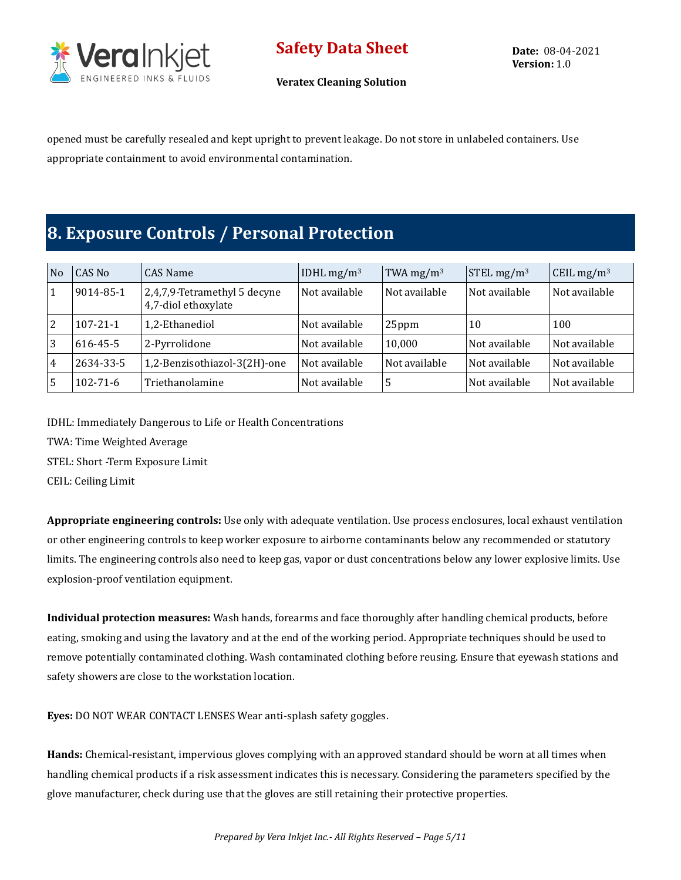

**Date:** 08-04-2021 **Version:** 1.0

**Veratex Cleaning Solution**

opened must be carefully resealed and kept upright to prevent leakage. Do not store in unlabeled containers. Use appropriate containment to avoid environmental contamination.

## **8. Exposure Controls / Personal Protection**

| No             | CAS No         | CAS Name                                            | IDHL $mg/m3$  | TWA mg/m <sup>3</sup> | $STEL$ mg/m <sup>3</sup> | CEIL mg/m <sup>3</sup> |
|----------------|----------------|-----------------------------------------------------|---------------|-----------------------|--------------------------|------------------------|
| $\mathbf{1}$   | 9014-85-1      | 2,4,7,9-Tetramethyl 5 decyne<br>4,7-diol ethoxylate | Not available | Not available         | Not available            | Not available          |
| 2              | $107 - 21 - 1$ | 1,2-Ethanediol                                      | Not available | 25ppm                 | 10                       | 100                    |
| 3              | 616-45-5       | 2-Pyrrolidone                                       | Not available | 10,000                | Not available            | Not available          |
| $\overline{4}$ | 2634-33-5      | 1,2-Benzisothiazol-3(2H)-one                        | Not available | Not available         | Not available            | Not available          |
| 5              | $102 - 71 - 6$ | Triethanolamine                                     | Not available | 5                     | Not available            | Not available          |

IDHL: Immediately Dangerous to Life or Health Concentrations

TWA: Time Weighted Average

STEL: Short -Term Exposure Limit

CEIL: Ceiling Limit

**Appropriate engineering controls:** Use only with adequate ventilation. Use process enclosures, local exhaust ventilation or other engineering controls to keep worker exposure to airborne contaminants below any recommended or statutory limits. The engineering controls also need to keep gas, vapor or dust concentrations below any lower explosive limits. Use explosion-proof ventilation equipment.

**Individual protection measures:** Wash hands, forearms and face thoroughly after handling chemical products, before eating, smoking and using the lavatory and at the end of the working period. Appropriate techniques should be used to remove potentially contaminated clothing. Wash contaminated clothing before reusing. Ensure that eyewash stations and safety showers are close to the workstation location.

**Eyes:** DO NOT WEAR CONTACT LENSES Wear anti-splash safety goggles.

**Hands:** Chemical-resistant, impervious gloves complying with an approved standard should be worn at all times when handling chemical products if a risk assessment indicates this is necessary. Considering the parameters specified by the glove manufacturer, check during use that the gloves are still retaining their protective properties.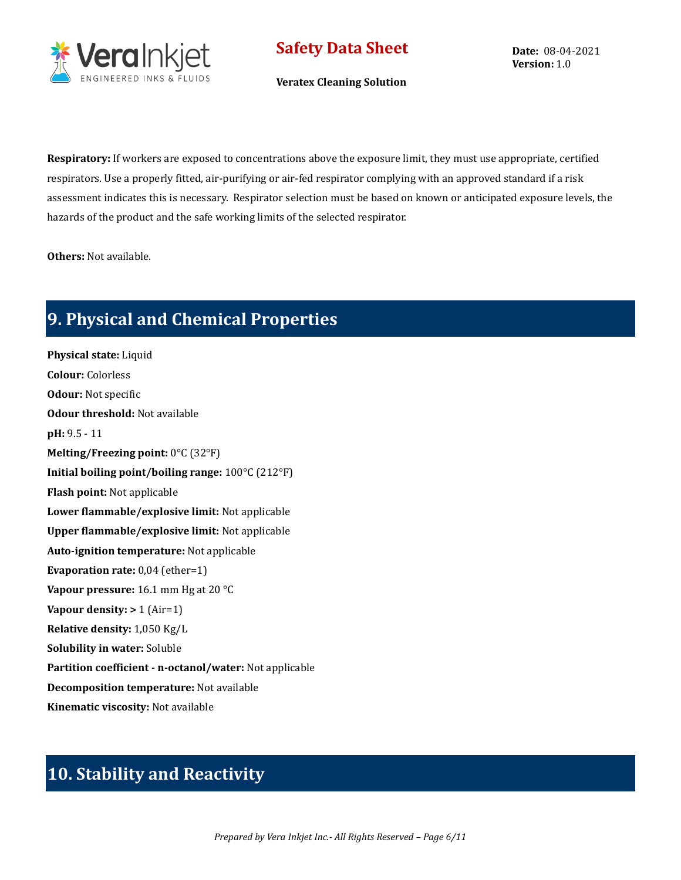

**Veratex Cleaning Solution**

**Date:** 08-04-2021 **Version:** 1.0

**Respiratory:** If workers are exposed to concentrations above the exposure limit, they must use appropriate, certified respirators. Use a properly fitted, air-purifying or air-fed respirator complying with an approved standard if a risk assessment indicates this is necessary. Respirator selection must be based on known or anticipated exposure levels, the hazards of the product and the safe working limits of the selected respirator.

**Others:** Not available.

## **9. Physical and Chemical Properties**

**Physical state:** Liquid **Colour:** Colorless **Odour:** Not specific **Odour threshold:** Not available **pH:** 9.5 - 11 **Melting/Freezing point:** 0°C (32°F) **Initial boiling point/boiling range:** 100°C (212°F) **Flash point:** Not applicable **Lower flammable/explosive limit:** Not applicable **Upper flammable/explosive limit:** Not applicable **Auto-ignition temperature:** Not applicable **Evaporation rate:** 0,04 (ether=1) **Vapour pressure:** 16.1 mm Hg at 20 °C **Vapour density: >** 1 (Air=1) **Relative density:** 1,050 Kg/L **Solubility in water:** Soluble **Partition coefficient - n-octanol/water:** Not applicable **Decomposition temperature:** Not available **Kinematic viscosity:** Not available

## **10. Stability and Reactivity**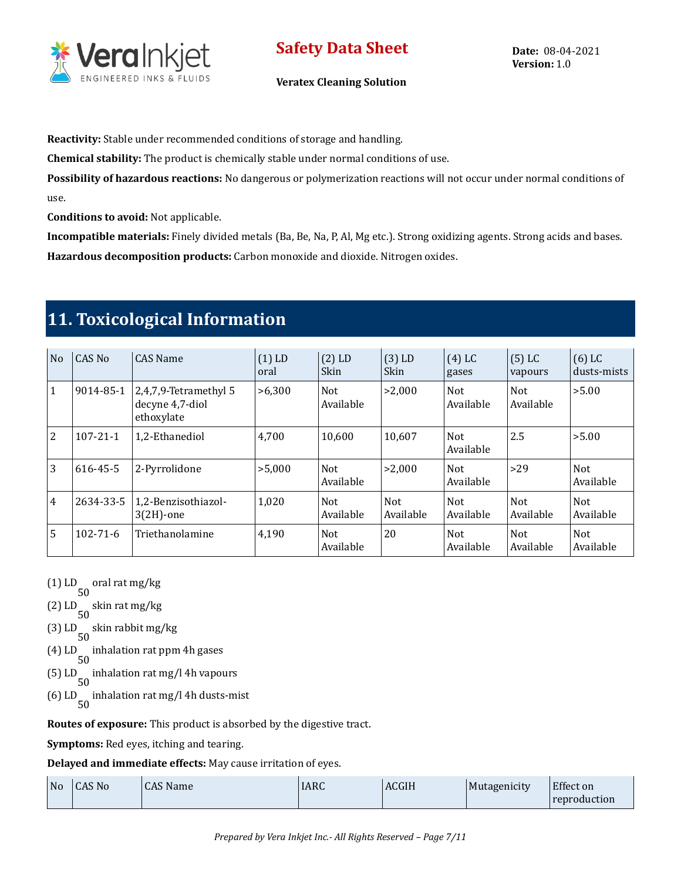

**Reactivity:** Stable under recommended conditions of storage and handling.

**Chemical stability:** The product is chemically stable under normal conditions of use.

**Possibility of hazardous reactions:** No dangerous or polymerization reactions will not occur under normal conditions of use.

**Conditions to avoid:** Not applicable.

**Incompatible materials:** Finely divided metals (Ba, Be, Na, P, Al, Mg etc.). Strong oxidizing agents. Strong acids and bases. **Hazardous decomposition products:** Carbon monoxide and dioxide. Nitrogen oxides.

## **11. Toxicological Information**

| N <sub>o</sub> | <b>CAS No</b>  | <b>CAS Name</b>                                        | $(1)$ LD<br>oral | $(2)$ LD<br>Skin        | $(3)$ LD<br>Skin        | $(4)$ LC<br>gases       | $(5)$ LC<br>vapours     | $(6)$ LC<br>dusts-mists |
|----------------|----------------|--------------------------------------------------------|------------------|-------------------------|-------------------------|-------------------------|-------------------------|-------------------------|
| $\vert$ 1      | 9014-85-1      | 2,4,7,9-Tetramethyl 5<br>decyne 4,7-diol<br>ethoxylate | >6,300           | <b>Not</b><br>Available | >2,000                  | <b>Not</b><br>Available | <b>Not</b><br>Available | >5.00                   |
| <sup>2</sup>   | $107 - 21 - 1$ | 1,2-Ethanediol                                         | 4,700            | 10.600                  | 10,607                  | <b>Not</b><br>Available | 2.5                     | >5.00                   |
| $\overline{3}$ | 616-45-5       | 2-Pyrrolidone                                          | >5,000           | <b>Not</b><br>Available | >2.000                  | <b>Not</b><br>Available | $>29$                   | <b>Not</b><br>Available |
| $\overline{4}$ | 2634-33-5      | 1,2-Benzisothiazol-<br>$3(2H)$ -one                    | 1,020            | <b>Not</b><br>Available | <b>Not</b><br>Available | <b>Not</b><br>Available | <b>Not</b><br>Available | <b>Not</b><br>Available |
| $\overline{5}$ | $102 - 71 - 6$ | Triethanolamine                                        | 4,190            | <b>Not</b><br>Available | 20                      | <b>Not</b><br>Available | <b>Not</b><br>Available | <b>Not</b><br>Available |

(1) LD 50 oral rat mg/kg

(2) LD 50 skin rat mg/kg

(3) LD 50 skin rabbit mg/kg

(4) LD 50 inhalation rat ppm 4h gases

- (5) LD 50 inhalation rat mg/l 4h vapours
- (6) LD 50 inhalation rat mg/l 4h dusts-mist

**Routes of exposure:** This product is absorbed by the digestive tract.

**Symptoms:** Red eyes, itching and tearing.

**Delayed and immediate effects:** May cause irritation of eyes.

| $No$ $  CAS No$ | CAS Name | <b>IARC</b> | <b>ACGIH</b> | Mutagenicity | <b>Effect on</b> |
|-----------------|----------|-------------|--------------|--------------|------------------|
|                 |          |             |              |              | reproduction     |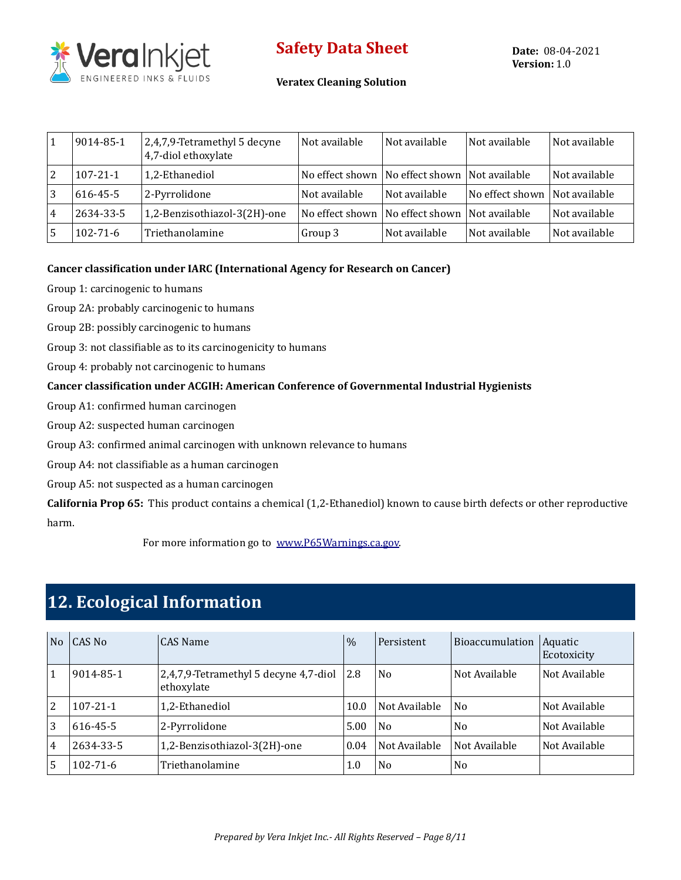

#### **Veratex Cleaning Solution**

|                | 9014-85-1      | 2,4,7,9-Tetramethyl 5 decyne<br>4,7-diol ethoxylate | Not available | Not available                                     | Not available                 | Not available |
|----------------|----------------|-----------------------------------------------------|---------------|---------------------------------------------------|-------------------------------|---------------|
| 2              | $107 - 21 - 1$ | 1,2-Ethanediol                                      |               | No effect shown   No effect shown   Not available |                               | Not available |
| 3              | 616-45-5       | 2-Pyrrolidone                                       | Not available | Not available                                     | No effect shown Not available |               |
| $\overline{4}$ | 2634-33-5      | 1,2-Benzisothiazol-3(2H)-one                        |               | No effect shown   No effect shown   Not available |                               | Not available |
| .5             | $102 - 71 - 6$ | Triethanolamine                                     | Group 3       | Not available                                     | Not available                 | Not available |

#### **Cancer classification under IARC (International Agency for Research on Cancer)**

Group 1: carcinogenic to humans

Group 2A: probably carcinogenic to humans

Group 2B: possibly carcinogenic to humans

Group 3: not classifiable as to its carcinogenicity to humans

Group 4: probably not carcinogenic to humans

#### **Cancer classification under ACGIH: American Conference of Governmental Industrial Hygienists**

Group A1: confirmed human carcinogen

Group A2: suspected human carcinogen

Group A3: confirmed animal carcinogen with unknown relevance to humans

Group A4: not classifiable as a human carcinogen

Group A5: not suspected as a human carcinogen

**California Prop 65:** This product contains a chemical (1,2-Ethanediol) known to cause birth defects or other reproductive harm.

For more information go to [www.P65Warnings.ca.gov.](http://www.p65warnings.ca.gov/)

## **12. Ecological Information**

| N <sub>o</sub> | CAS No         | CAS Name                                            | $\frac{0}{0}$ | Persistent     | Bioaccumulation | Aquatic<br>Ecotoxicity |
|----------------|----------------|-----------------------------------------------------|---------------|----------------|-----------------|------------------------|
|                | 9014-85-1      | 2,4,7,9-Tetramethyl 5 decyne 4,7-diol<br>ethoxylate | 2.8           | N <sub>0</sub> | Not Available   | Not Available          |
| 2              | $107 - 21 - 1$ | 1,2-Ethanediol                                      | 10.0          | Not Available  | N <sub>0</sub>  | Not Available          |
| 3              | 616-45-5       | 2-Pyrrolidone                                       | 5.00          | N <sub>0</sub> | N <sub>0</sub>  | Not Available          |
| 4              | 2634-33-5      | 1,2-Benzisothiazol-3(2H)-one                        | 0.04          | Not Available  | Not Available   | Not Available          |
| 5              | $102 - 71 - 6$ | Triethanolamine                                     | 1.0           | N <sub>0</sub> | N <sub>o</sub>  |                        |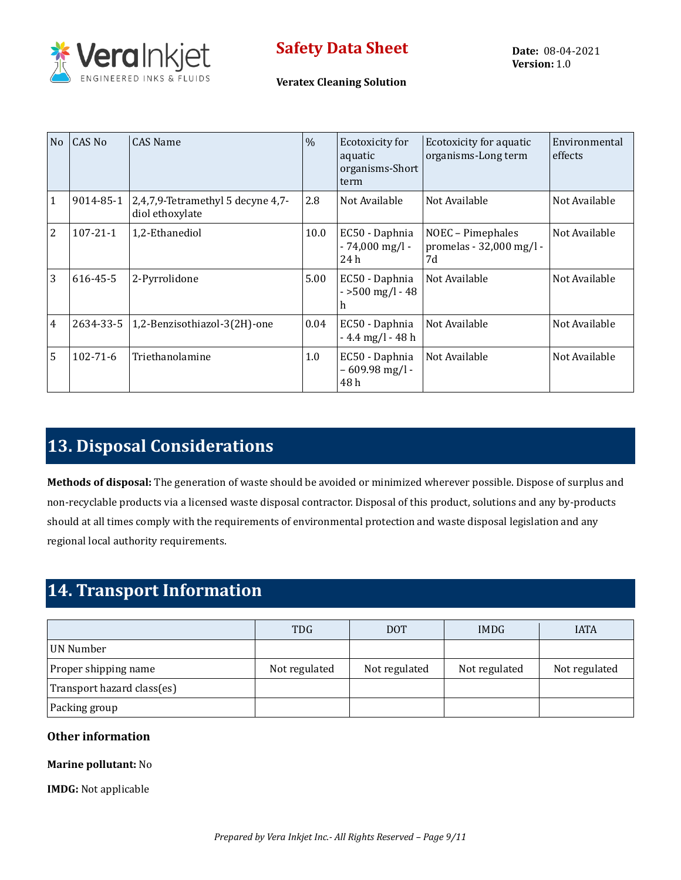

#### **Veratex Cleaning Solution**

| N <sub>o</sub> | CAS No         | <b>CAS Name</b>                                      | $\frac{0}{0}$ | Ecotoxicity for<br>aquatic<br>organisms-Short<br>term | Ecotoxicity for aquatic<br>organisms-Long term      | Environmental<br>effects |
|----------------|----------------|------------------------------------------------------|---------------|-------------------------------------------------------|-----------------------------------------------------|--------------------------|
| $\mathbf{1}$   | 9014-85-1      | 2,4,7,9-Tetramethyl 5 decyne 4,7-<br>diol ethoxylate | 2.8           | Not Available                                         | Not Available                                       | Not Available            |
| 2              | $107 - 21 - 1$ | 1,2-Ethanediol                                       | 10.0          | EC50 - Daphnia<br>$-74,000$ mg/l $-$<br>24 h          | NOEC - Pimephales<br>promelas - 32,000 mg/l -<br>7d | Not Available            |
| 3              | 616-45-5       | 2-Pyrrolidone                                        | 5.00          | EC50 - Daphnia<br>$-500$ mg/l $-48$<br>h              | Not Available                                       | Not Available            |
| $\overline{4}$ | 2634-33-5      | 1,2-Benzisothiazol-3(2H)-one                         | 0.04          | EC50 - Daphnia<br>$-4.4$ mg/l $-48$ h                 | Not Available                                       | Not Available            |
| 5              | $102 - 71 - 6$ | Triethanolamine                                      | 1.0           | EC50 - Daphnia<br>$-609.98$ mg/l -<br>48 h            | Not Available                                       | Not Available            |

# **13. Disposal Considerations**

**Methods of disposal:** The generation of waste should be avoided or minimized wherever possible. Dispose of surplus and non-recyclable products via a licensed waste disposal contractor. Disposal of this product, solutions and any by-products should at all times comply with the requirements of environmental protection and waste disposal legislation and any regional local authority requirements.

# **14. Transport Information**

|                            | <b>TDG</b>    | <b>DOT</b>    | <b>IMDG</b>   | <b>IATA</b>   |
|----------------------------|---------------|---------------|---------------|---------------|
| UN Number                  |               |               |               |               |
| Proper shipping name       | Not regulated | Not regulated | Not regulated | Not regulated |
| Transport hazard class(es) |               |               |               |               |
| Packing group              |               |               |               |               |

#### **Other information**

#### **Marine pollutant:** No

**IMDG:** Not applicable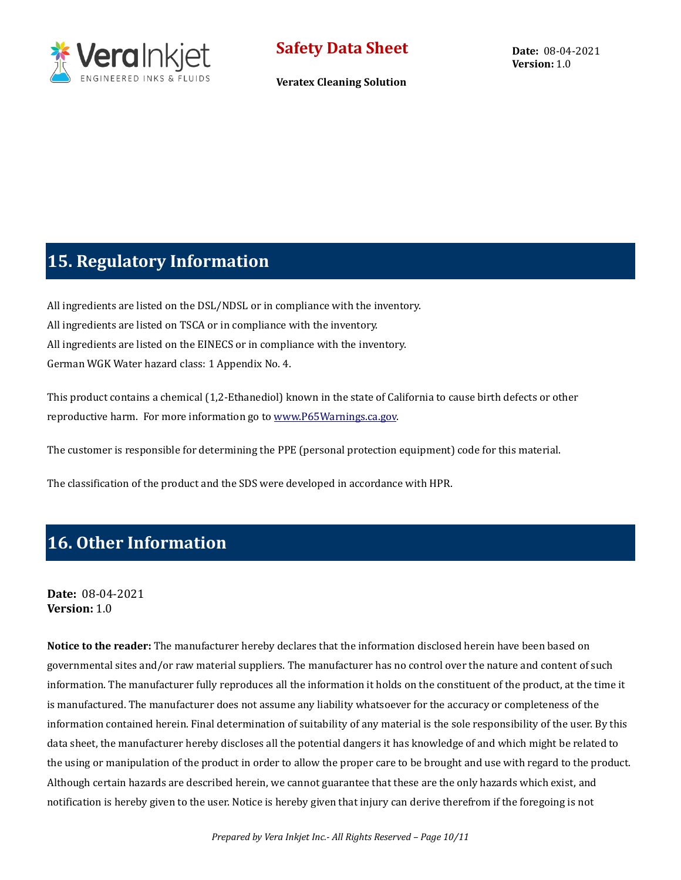

**Veratex Cleaning Solution**

## **15. Regulatory Information**

All ingredients are listed on the DSL/NDSL or in compliance with the inventory. All ingredients are listed on TSCA or in compliance with the inventory. All ingredients are listed on the EINECS or in compliance with the inventory. German WGK Water hazard class: 1 Appendix No. 4.

This product contains a chemical (1,2-Ethanediol) known in the state of California to cause birth defects or other reproductive harm. For more information go t[o www.P65Warnings.ca.gov.](http://www.p65warnings.ca.gov/)

The customer is responsible for determining the PPE (personal protection equipment) code for this material.

The classification of the product and the SDS were developed in accordance with HPR.

# **16. Other Information**

#### **Date:** 08-04-2021 **Version:** 1.0

**Notice to the reader:** The manufacturer hereby declares that the information disclosed herein have been based on governmental sites and/or raw material suppliers. The manufacturer has no control over the nature and content of such information. The manufacturer fully reproduces all the information it holds on the constituent of the product, at the time it is manufactured. The manufacturer does not assume any liability whatsoever for the accuracy or completeness of the information contained herein. Final determination of suitability of any material is the sole responsibility of the user. By this data sheet, the manufacturer hereby discloses all the potential dangers it has knowledge of and which might be related to the using or manipulation of the product in order to allow the proper care to be brought and use with regard to the product. Although certain hazards are described herein, we cannot guarantee that these are the only hazards which exist, and notification is hereby given to the user. Notice is hereby given that injury can derive therefrom if the foregoing is not